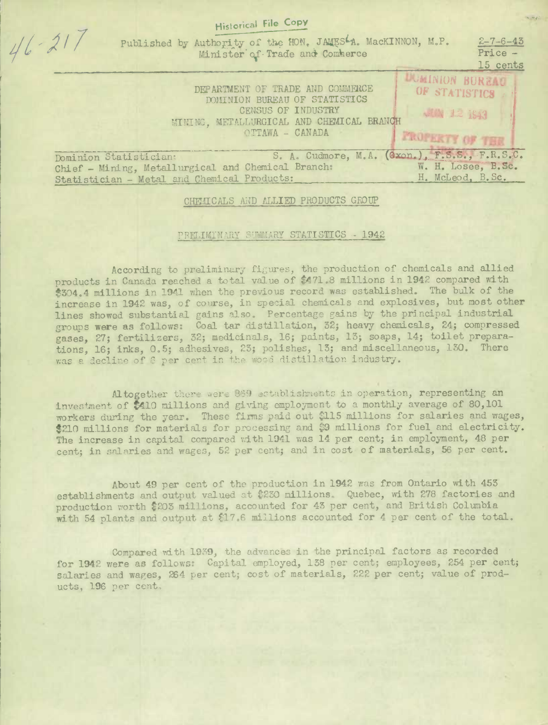| Historical rue cop                                                                                     |                                                        |
|--------------------------------------------------------------------------------------------------------|--------------------------------------------------------|
| $-21$<br>Published by Authority of the HON. JAMESLA. MacKINNON, M.P.<br>Minister of Trade and Commerce | $2 - 7 - 6 - 43$<br>Price -<br>15 cents                |
| DEPARTMENT OF TRADE AND COMMERCE<br>DOMINION BUREAU OF STATISTICS<br>CENSUS OF INDUSTRY                | <b>UMINION BURELLO</b><br>OF STATISTICS<br>JUN 12 1943 |
| MINING, METALLURGICAL AND CHEMICAL BRANCH<br>OTTAWA - CANADA<br><b>PROPERTY OF THE</b>                 |                                                        |
| S. A. Cudmore, M.A. (Gxon.), F.S.S., F.R.S.C.<br>Dominion Statistician:                                |                                                        |
| Chief - Mining, Metallurgical and Chemical Branch:                                                     | W. H. Losee, B.Sc.                                     |
| Statistician - Metal and Chemical Products:                                                            | H. McLeod, B.Sc.                                       |

 $-1$   $C_{\text{max}}$ 

CHEMICALS AND ALLIED PRODUCTS GROUP

## PRILIMINARY SUMMARY STATISTICS - 1942

According to preliminary figures, the production of chemicals and allied products in Canada reached a total value of \$471.8 millions in 1942 compared with \$304.4 millions in 1941 when the previous record was established. The bulk of the increase in 1942 was, of course, in special chemicals and explosives, but most other lines showed substantial gains also. Percentage gains by the principal industrial groups were as follows: Coal tar distillation, 32; heavy chemicals, 24; compressed gases, 27; fertilizers, 32; medicinals, 16; paints, 13; soaps, 14; toilet preparations, 16; inks, 0.5; adhesives, 23; polishes, 13; and miscellaneous, 130. There was a decline of 8 per cent in the wood distillation industry.

Altogether there were 869 establishments in operation, representing an investment of \$410 millions and giving employment to a monthly average of 80,101 workers during the year. These firms paid out \$115 millions for salaries and wages, \$210 millions for materials for processing and \$9 millions for fuel and electricity. The increase in capital compared with 1941 was 14 per cent; in employment, 48 per cent; in salaries and wages, 52 per cent; and in cost of materials, 56 per cent.

About 49 per cent of the production in 1942 was from Ontario with 453 establishments and output valued at \$230 millions. Quebec, with 278 factories and production worth \$203 millions, accounted for 43 per cent, and British Columbia with 54 plants and output at \$17.6 millions accounted for 4 per cent of the total.

Compared with 1939, the advances in the principal factors as recorded for 1942 were as follows: Capital employed, 138 per cent; employees, 254 per cent; salaries and wages, 264 per cent; cost of materials, 222 per cent; value of products, 196 per cent,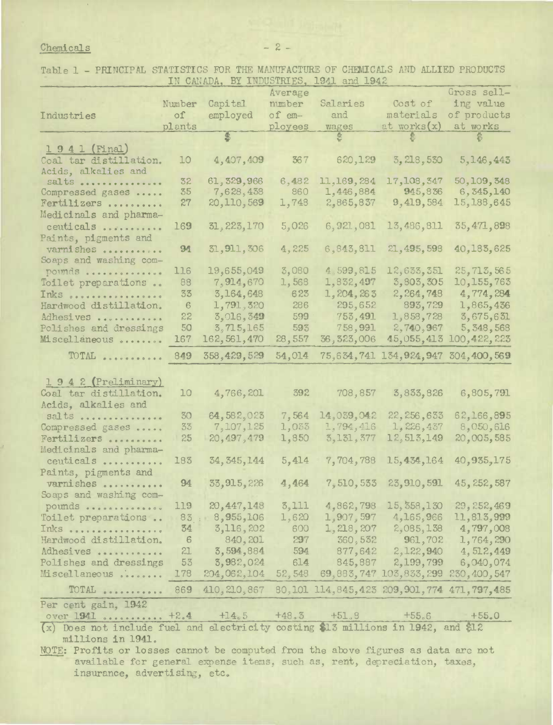## $Chemicals$   $-2$   $-$

Table 1 - PRINCIPAL STATISTICS FOR THE MANUFACTURE OF CHEMICALS AND ALLIED PRODUCTS IN CANADA. BY INDUSTRIES. 1941 and 1942

|                        |                 |               | Average |                                                   |                                    | Gross sell-  |
|------------------------|-----------------|---------------|---------|---------------------------------------------------|------------------------------------|--------------|
|                        | Number          | Capital       | number  | Salaries                                          | Cost of                            | ing value    |
| Industries             | $\circ$ f       | employed      | of em-  | and                                               | materials                          | of products  |
|                        | plants          |               | ployees | wages                                             | at works(x)                        | at works     |
|                        |                 |               |         |                                                   |                                    |              |
| 1941 (Final)           |                 |               |         |                                                   |                                    |              |
| Coal tar distillation. | 10              | 4,407,409     | 367     | 620,129                                           | 3, 218, 530                        | 5, 146, 443  |
| Acids, alkalies and    |                 |               |         |                                                   |                                    |              |
| $salts$                | 32              | 61, 329, 966  | 6,482   | 11,169,284                                        | 17,108,347                         | 50, 109, 348 |
| Compressed gases       | 35              | 7,628,438     | 860     | 1,446,884                                         | 945,836                            | 6, 345, 140  |
| Fertilizers            | 27              | 20, 110, 569  | 1,748   | 2,865,837                                         | 9,419,584                          | 15, 188, 645 |
| Medicinals and pharma- |                 |               |         |                                                   |                                    |              |
| ceuticals              | 169             | 31, 223, 170  | 5,026   | 6,921,081                                         | 13,486,811                         | 35,471,898   |
| Paints, pigments and   |                 |               |         |                                                   |                                    |              |
| varnishes              | 94              | 31, 911, 306  | 4,225   | 6,843,811                                         | 21, 495, 598                       | 40,183,625   |
| Soaps and washing com- |                 |               |         |                                                   |                                    |              |
| pounds                 | 116             | 19,655,049    | 3,080   | 4,599,815                                         | 12,633,351                         | 25, 713, 565 |
| Toilet preparations    | 88              | 7,914,670     | 1,568   | 1,832,497                                         | 3,803,305                          | 10,155,763   |
| Inks                   | 33              | 3,164,648     | 623     | 1,204,263                                         | 2,264,748                          | 4,774,284    |
| Hardwood distillation. | 6               | 1,791,320     | 286     | 295,652                                           | 893,729                            | 1,865,436    |
| Adhesives              | 22              | 3,016,349     | 599     | 753,491                                           | 1,858,728                          | 3,675,631    |
| Polishes and dressings | 50              | 3,715,165     | 593     | 758,991                                           | 2,740,967                          | 5, 348, 568  |
| Miscellaneous          | 167             | 162, 561, 470 | 28,557  | 36, 323, 006                                      | 45,055,413                         | 100,422,223  |
| TOTAL                  | 849             | 358,429,529   | 54,014  |                                                   | 75,634,741 134,924,947 304,400,569 |              |
|                        |                 |               |         |                                                   |                                    |              |
| 1942 (Preliminary)     |                 |               |         |                                                   |                                    |              |
| Coal tar distillation. | 10              | 4,766,201     | 392     | 708,857                                           | 3,833,826                          | 6,805,791    |
| Acids, alkalies and    |                 |               |         |                                                   |                                    |              |
| salts                  | 30 <sub>o</sub> | 64,582,023    | 7,564   | 14,039,042                                        | 22, 256, 633                       | 62,166,895   |
| Compressed gases       | 33              | 7,107,125     | 1,033   | 1,794,416                                         | 1, 226, 437                        | 8,050,616    |
| Fertilizers            | 25              | 20, 497, 479  | 1,850   | 3, 131, 377                                       | 12,513,149                         | 20,005,585   |
| Medicinals and pharma- |                 |               |         |                                                   |                                    |              |
| ceuticals              | 183             | 34, 345, 144  | 5,414   | 7,704,788                                         | 15,434,164                         | 40,935,175   |
| Paints, pigments and   |                 |               |         |                                                   |                                    |              |
| varnishes              | 94              | 33, 915, 226  | 4,464   | 7,510,533                                         | 23,910,591                         | 45, 252, 587 |
| Soaps and washing com- |                 |               |         |                                                   |                                    |              |
| pounds                 | 119             | 20,447,148    | 5,111   | 4,862,798                                         | 15, 358, 130                       | 29, 252, 469 |
| Toilet preparations    | 83              | 8,955,106     | 1,620   |                                                   | $1,907,597$ 4, 165, 966            | 11,813,999   |
| Inks                   | 34              | 3,116,202     | 600     |                                                   | $1, 218, 207$ $2, 085, 138$        | 4,797,008    |
| Hardwood distillation. | 6               | 840, 201      | 297     | <b>COLLEGE</b>                                    | 360, 532 961, 702                  | 1,764,290    |
| Adhesives              | 21              | 3,594,884     | 594     |                                                   | 877,642 2,122,940 4,512,449        |              |
| Polishes and dressings | 53              | 3,982,024     | 614     |                                                   | 845,887 2,199,799                  | 6,040,074    |
| Miscellaneous          | 178             | 204,062,104   | 52,548  |                                                   | 69,883,747 103,833,299             | 230,400,547  |
| TOTAL                  | 869             | 410, 210, 867 |         | 80, 101 114, 845, 423 209, 901, 774 471, 797, 485 |                                    |              |
| Per cent gain, 1942    |                 |               |         |                                                   |                                    |              |
| over 1941  +2.4        |                 | $+14.5$       | $+48.3$ | $+51, 8$                                          | $+55.6$                            | $+55.0$      |
|                        |                 |               |         | $577 - 3773 -$                                    | 24.7040                            |              |

 $(x)$  Does not include fuel and electricity costing \$13 millions in 1942, and \$12 millions In 1941.

NOTE: Profits or losses cannot be computed from the above figures as data are not available for general expense items, such as, rent, depreciation, taxes, insurance, advertising, etc.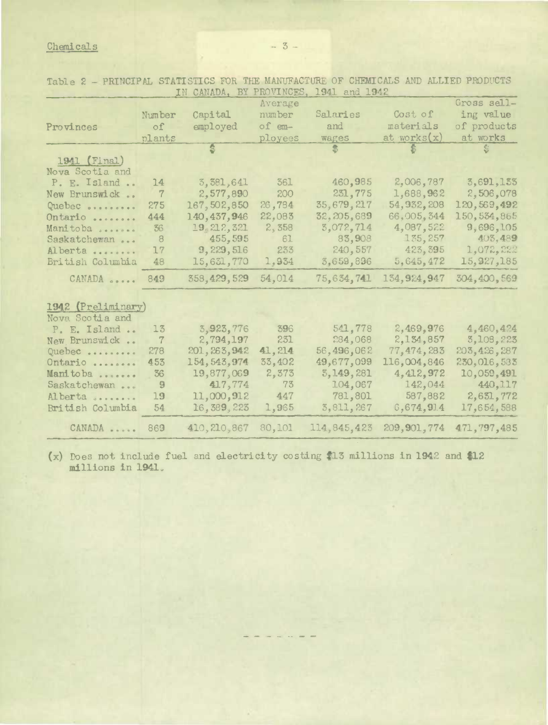## Chemicals -- 3.-

|                    |                | IN CANADA, BY PROVINCES, |         | 1941 and 1942 |                |               |  |  |
|--------------------|----------------|--------------------------|---------|---------------|----------------|---------------|--|--|
|                    |                |                          | Average |               |                | Gross sell-   |  |  |
|                    | Number         | Capital                  | number  | Salaries      | Cost of        | ing value     |  |  |
| Provinces          | $\circ$ f      | employed                 | of em-  | and           | materials      | of products   |  |  |
|                    | plants         |                          | ployees | wages         | at works $(x)$ | at works      |  |  |
|                    |                |                          |         | 岛             | $\mathbf{E}$   | Ś.            |  |  |
| 1941 (Final)       |                |                          |         |               |                |               |  |  |
| Nova Scotia and    |                |                          |         |               |                |               |  |  |
| P. E. Island       | 14             | 3,381,641                | 361     | 460,985       | 2,006,787      | 3,691,155     |  |  |
| New Brunswick      | $\overline{7}$ | 2,577,890                | 200     | 231,775       | 1,688,962      | 2,506,078     |  |  |
| Quebec             | 275            | 167,502,850              | 26,784  | 35,679,217    | 54, 932, 208   | 120,569,492   |  |  |
| Ontario            | 444            | 140,437,946              | 22,083  | 32, 205, 689  | 66,005,344     | 150, 534, 865 |  |  |
| Manitoba           | 36             | 19, 212, 321             | 2,358   | 3,072,714     | 4,087,522      | 9,696,105     |  |  |
| Saskatchewan       | 8              | 455,595                  | 61      | 83,908        | 135,257        | 403,489       |  |  |
| Alberta            | 17             | 9,229,516                | 233     | 240,557       | 423, 395       | 1,072,222     |  |  |
| British Columbia   | 48             | 15,631,770               | 1,934   | 3,659,896     | 5,645,472      | 15,927,185    |  |  |
| CANADA             | 849            | 358,429,529              | 54,014  | 75,634,741    | 134, 924, 947  | 304, 400, 569 |  |  |
|                    |                |                          |         |               |                |               |  |  |
| 1942 (Preliminary) |                |                          |         |               |                |               |  |  |
| Nova Scotia and    |                |                          |         |               |                |               |  |  |
| P. E. Island       | 13             | 3,923,776                | 396     | 541,778       | 2,469,976      | 4,460,424     |  |  |
| New Brunswick      | $\overline{7}$ | 2,794,197                | 231     | 284,068       | 2,134,857      | 3,108,223     |  |  |
| Quebec             | 278            | 201, 263, 942            | 41,214  | 56,496,062    | 77,474,283     | 203, 426, 287 |  |  |
| Ontario            | 453            | 154, 543, 974            | 33,402  | 49,677,099    | 116,004,846    | 230,016,533   |  |  |
| Manitoba           | 36             | 19,877,069               | 2,373   | 3, 149, 281   | 4, 412, 972    | 10,059,491    |  |  |
| Saskatchewan       | 9              | 417,774                  | 73      | 104,067       | 142,044        | 440, 117      |  |  |
| Alberta            | 19             | 11,000,912               | 447     | 781,801       | 587,882        | 2,631,772     |  |  |
| British Columbia   | 54             | 16,389,223               | 1,965   | 3,811,267     | 6,674,914      | 17,654,588    |  |  |
| CANADA             | 869            | 410, 210, 867            | 80,101  | 114, 845, 423 | 209, 901, 774  | 471, 797, 485 |  |  |
|                    |                |                          |         |               |                |               |  |  |

Table 2 - PRINCIPAL STATISTICS FOR THE MANUFACTURE OF CHEMICALS AND ALLIED PRODUCTS

(x) Does not include fuel and electricity costing **t13** millions in 1942 and **\$12 millions in 1941.**